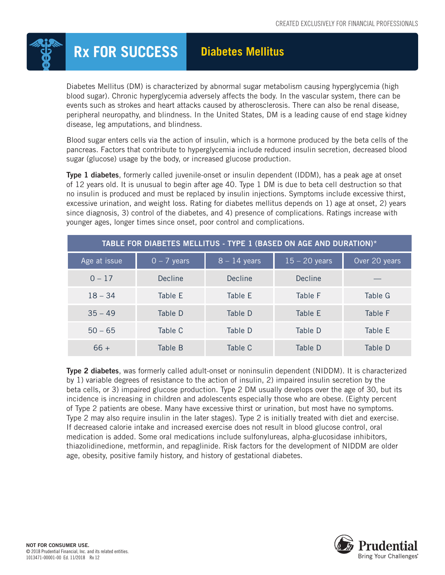

## **Rx FOR SUCCESS Diabetes Mellitus**

Diabetes Mellitus (DM) is characterized by abnormal sugar metabolism causing hyperglycemia (high blood sugar). Chronic hyperglycemia adversely affects the body. In the vascular system, there can be events such as strokes and heart attacks caused by atherosclerosis. There can also be renal disease, peripheral neuropathy, and blindness. In the United States, DM is a leading cause of end stage kidney disease, leg amputations, and blindness.

Blood sugar enters cells via the action of insulin, which is a hormone produced by the beta cells of the pancreas. Factors that contribute to hyperglycemia include reduced insulin secretion, decreased blood sugar (glucose) usage by the body, or increased glucose production.

Type 1 diabetes, formerly called juvenile-onset or insulin dependent (IDDM), has a peak age at onset of 12 years old. It is unusual to begin after age 40. Type 1 DM is due to beta cell destruction so that no insulin is produced and must be replaced by insulin injections. Symptoms include excessive thirst, excessive urination, and weight loss. Rating for diabetes mellitus depends on 1) age at onset, 2) years since diagnosis, 3) control of the diabetes, and 4) presence of complications. Ratings increase with younger ages, longer times since onset, poor control and complications.

| TABLE FOR DIABETES MELLITUS - TYPE 1 (BASED ON AGE AND DURATION)* |               |                |                 |               |  |  |  |
|-------------------------------------------------------------------|---------------|----------------|-----------------|---------------|--|--|--|
| Age at issue                                                      | $0 - 7$ years | $8 - 14$ years | $15 - 20$ years | Over 20 years |  |  |  |
| $0 - 17$                                                          | Decline       | <b>Decline</b> | Decline         |               |  |  |  |
| $18 - 34$                                                         | Table E       | Table F        | Table F         | Table G       |  |  |  |
| $35 - 49$                                                         | Table D       | Table D        | Table E         | Table F       |  |  |  |
| $50 - 65$                                                         | Table C       | Table D        | Table D         | Table E       |  |  |  |
| $66 +$                                                            | Table B       | Table C        | Table D         | Table D       |  |  |  |

Type 2 diabetes, was formerly called adult-onset or noninsulin dependent (NIDDM). It is characterized by 1) variable degrees of resistance to the action of insulin, 2) impaired insulin secretion by the beta cells, or 3) impaired glucose production. Type 2 DM usually develops over the age of 30, but its incidence is increasing in children and adolescents especially those who are obese. (Eighty percent of Type 2 patients are obese. Many have excessive thirst or urination, but most have no symptoms. Type 2 may also require insulin in the later stages). Type 2 is initially treated with diet and exercise. If decreased calorie intake and increased exercise does not result in blood glucose control, oral medication is added. Some oral medications include sulfonylureas, alpha-glucosidase inhibitors, thiazolidinedione, metformin, and repaglinide. Risk factors for the development of NIDDM are older age, obesity, positive family history, and history of gestational diabetes.

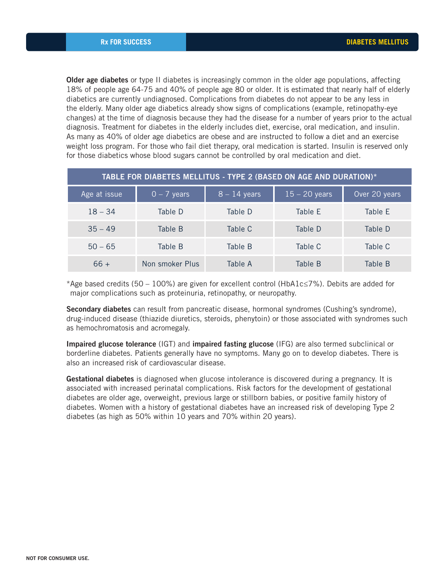**Older age diabetes** or type II diabetes is increasingly common in the older age populations, affecting 18% of people age 64-75 and 40% of people age 80 or older. It is estimated that nearly half of elderly diabetics are currently undiagnosed. Complications from diabetes do not appear to be any less in the elderly. Many older age diabetics already show signs of complications (example, retinopathy-eye changes) at the time of diagnosis because they had the disease for a number of years prior to the actual diagnosis. Treatment for diabetes in the elderly includes diet, exercise, oral medication, and insulin. As many as 40% of older age diabetics are obese and are instructed to follow a diet and an exercise weight loss program. For those who fail diet therapy, oral medication is started. Insulin is reserved only for those diabetics whose blood sugars cannot be controlled by oral medication and diet.

| TABLE FOR DIABETES MELLITUS - TYPE 2 (BASED ON AGE AND DURATION)* |                 |                |                 |               |  |  |  |
|-------------------------------------------------------------------|-----------------|----------------|-----------------|---------------|--|--|--|
| Age at issue                                                      | $0 - 7$ years   | $8 - 14$ years | $15 - 20$ years | Over 20 years |  |  |  |
| $18 - 34$                                                         | Table D         | Table D        | Table E         | Table E       |  |  |  |
| $35 - 49$                                                         | Table B         | Table C        | Table D         | Table D       |  |  |  |
| $50 - 65$                                                         | Table B         | Table B        | Table C         | Table C       |  |  |  |
| $66 +$                                                            | Non smoker Plus | Table A        | Table B         | Table B       |  |  |  |

\*Age based credits (50 – 100%) are given for excellent control (HbA1c≤7%). Debits are added for major complications such as proteinuria, retinopathy, or neuropathy.

Secondary diabetes can result from pancreatic disease, hormonal syndromes (Cushing's syndrome), drug-induced disease (thiazide diuretics, steroids, phenytoin) or those associated with syndromes such as hemochromatosis and acromegaly.

Impaired glucose tolerance (IGT) and impaired fasting glucose (IFG) are also termed subclinical or borderline diabetes. Patients generally have no symptoms. Many go on to develop diabetes. There is also an increased risk of cardiovascular disease.

Gestational diabetes is diagnosed when glucose intolerance is discovered during a pregnancy. It is associated with increased perinatal complications. Risk factors for the development of gestational diabetes are older age, overweight, previous large or stillborn babies, or positive family history of diabetes. Women with a history of gestational diabetes have an increased risk of developing Type 2 diabetes (as high as 50% within 10 years and 70% within 20 years).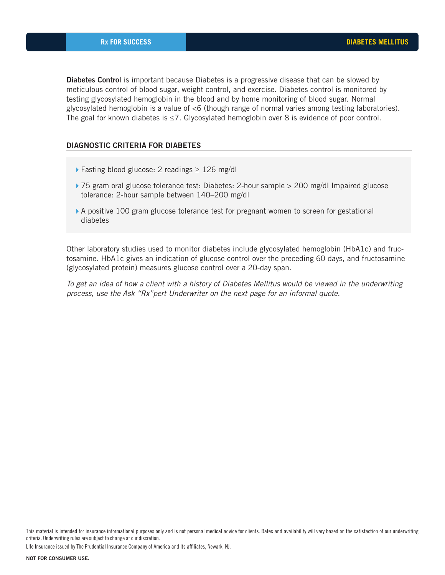**Diabetes Control** is important because Diabetes is a progressive disease that can be slowed by meticulous control of blood sugar, weight control, and exercise. Diabetes control is monitored by testing glycosylated hemoglobin in the blood and by home monitoring of blood sugar. Normal glycosylated hemoglobin is a value of <6 (though range of normal varies among testing laboratories). The goal for known diabetes is ≤7. Glycosylated hemoglobin over 8 is evidence of poor control.

## DIAGNOSTIC CRITERIA FOR DIABETES

- $▶$  Fasting blood glucose: 2 readings  $≥ 126$  mg/dl
- ▶ 75 gram oral glucose tolerance test: Diabetes: 2-hour sample > 200 mg/dl Impaired glucose tolerance: 2-hour sample between 140–200 mg/dl
- A positive 100 gram glucose tolerance test for pregnant women to screen for gestational diabetes

Other laboratory studies used to monitor diabetes include glycosylated hemoglobin (HbA1c) and fructosamine. HbA1c gives an indication of glucose control over the preceding 60 days, and fructosamine (glycosylated protein) measures glucose control over a 20-day span.

*To get an idea of how a client with a history of Diabetes Mellitus would be viewed in the underwriting process, use the Ask "Rx"pert Underwriter on the next page for an informal quote.*

Life Insurance issued by The Prudential Insurance Company of America and its affiliates, Newark, NJ.

This material is intended for insurance informational purposes only and is not personal medical advice for clients. Rates and availability will vary based on the satisfaction of our underwriting criteria. Underwriting rules are subject to change at our discretion.